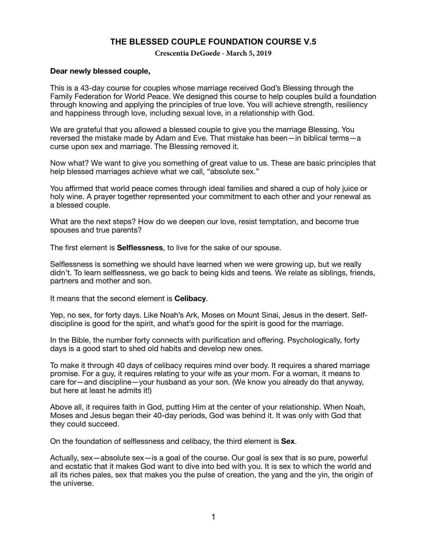# **THE BLESSED COUPLE FOUNDATION COURSE V.5**

**Crescentia DeGoede - March 5, 2019**

#### **Dear newly blessed couple,**

This is a 43-day course for couples whose marriage received God's Blessing through the Family Federation for World Peace. We designed this course to help couples build a foundation through knowing and applying the principles of true love. You will achieve strength, resiliency and happiness through love, including sexual love, in a relationship with God.

We are grateful that you allowed a blessed couple to give you the marriage Blessing. You reversed the mistake made by Adam and Eve. That mistake has been—in biblical terms—a curse upon sex and marriage. The Blessing removed it.

Now what? We want to give you something of great value to us. These are basic principles that help blessed marriages achieve what we call, "absolute sex."

You affirmed that world peace comes through ideal families and shared a cup of holy juice or holy wine. A prayer together represented your commitment to each other and your renewal as a blessed couple.

What are the next steps? How do we deepen our love, resist temptation, and become true spouses and true parents?

The first element is **Selflessness**, to live for the sake of our spouse.

Selflessness is something we should have learned when we were growing up, but we really didn't. To learn selflessness, we go back to being kids and teens. We relate as siblings, friends, partners and mother and son.

It means that the second element is **Celibacy**.

Yep, no sex, for forty days. Like Noah's Ark, Moses on Mount Sinai, Jesus in the desert. Selfdiscipline is good for the spirit, and what's good for the spirit is good for the marriage.

In the Bible, the number forty connects with purification and offering. Psychologically, forty days is a good start to shed old habits and develop new ones.

To make it through 40 days of celibacy requires mind over body. It requires a shared marriage promise. For a guy, it requires relating to your wife as your mom. For a woman, it means to care for—and discipline—your husband as your son. (We know you already do that anyway, but here at least he admits it!)

Above all, it requires faith in God, putting Him at the center of your relationship. When Noah, Moses and Jesus began their 40-day periods, God was behind it. It was only with God that they could succeed.

On the foundation of selflessness and celibacy, the third element is **Sex**.

Actually, sex—absolute sex—is a goal of the course. Our goal is sex that is so pure, powerful and ecstatic that it makes God want to dive into bed with you. It is sex to which the world and all its riches pales, sex that makes you the pulse of creation, the yang and the yin, the origin of the universe.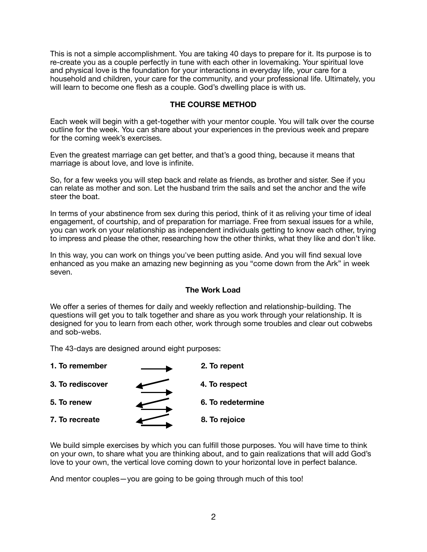This is not a simple accomplishment. You are taking 40 days to prepare for it. Its purpose is to re-create you as a couple perfectly in tune with each other in lovemaking. Your spiritual love and physical love is the foundation for your interactions in everyday life, your care for a household and children, your care for the community, and your professional life. Ultimately, you will learn to become one flesh as a couple. God's dwelling place is with us.

# **THE COURSE METHOD**

Each week will begin with a get-together with your mentor couple. You will talk over the course outline for the week. You can share about your experiences in the previous week and prepare for the coming week's exercises.

Even the greatest marriage can get better, and that's a good thing, because it means that marriage is about love, and love is infinite.

So, for a few weeks you will step back and relate as friends, as brother and sister. See if you can relate as mother and son. Let the husband trim the sails and set the anchor and the wife steer the boat.

In terms of your abstinence from sex during this period, think of it as reliving your time of ideal engagement, of courtship, and of preparation for marriage. Free from sexual issues for a while, you can work on your relationship as independent individuals getting to know each other, trying to impress and please the other, researching how the other thinks, what they like and don't like.

In this way, you can work on things you've been putting aside. And you will find sexual love enhanced as you make an amazing new beginning as you "come down from the Ark" in week seven.

## **The Work Load**

We offer a series of themes for daily and weekly reflection and relationship-building. The questions will get you to talk together and share as you work through your relationship. It is designed for you to learn from each other, work through some troubles and clear out cobwebs and sob-webs.

The 43-days are designed around eight purposes:



We build simple exercises by which you can fulfill those purposes. You will have time to think on your own, to share what you are thinking about, and to gain realizations that will add God's love to your own, the vertical love coming down to your horizontal love in perfect balance.

And mentor couples—you are going to be going through much of this too!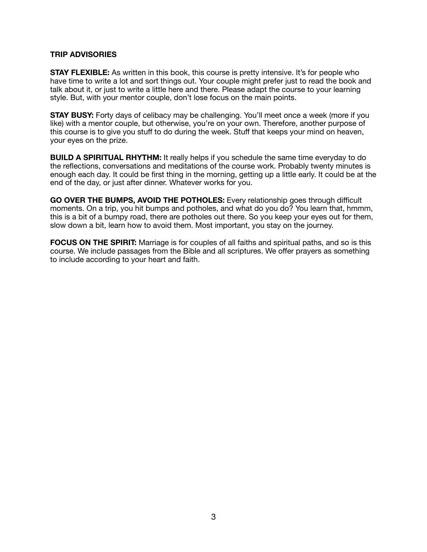## **TRIP ADVISORIES**

**STAY FLEXIBLE:** As written in this book, this course is pretty intensive. It's for people who have time to write a lot and sort things out. Your couple might prefer just to read the book and talk about it, or just to write a little here and there. Please adapt the course to your learning style. But, with your mentor couple, don't lose focus on the main points.

**STAY BUSY:** Forty days of celibacy may be challenging. You'll meet once a week (more if you like) with a mentor couple, but otherwise, you're on your own. Therefore, another purpose of this course is to give you stuff to do during the week. Stuff that keeps your mind on heaven, your eyes on the prize.

**BUILD A SPIRITUAL RHYTHM:** It really helps if you schedule the same time everyday to do the reflections, conversations and meditations of the course work. Probably twenty minutes is enough each day. It could be first thing in the morning, getting up a little early. It could be at the end of the day, or just after dinner. Whatever works for you.

**GO OVER THE BUMPS, AVOID THE POTHOLES:** Every relationship goes through difficult moments. On a trip, you hit bumps and potholes, and what do you do? You learn that, hmmm, this is a bit of a bumpy road, there are potholes out there. So you keep your eyes out for them, slow down a bit, learn how to avoid them. Most important, you stay on the journey.

**FOCUS ON THE SPIRIT:** Marriage is for couples of all faiths and spiritual paths, and so is this course. We include passages from the Bible and all scriptures. We offer prayers as something to include according to your heart and faith.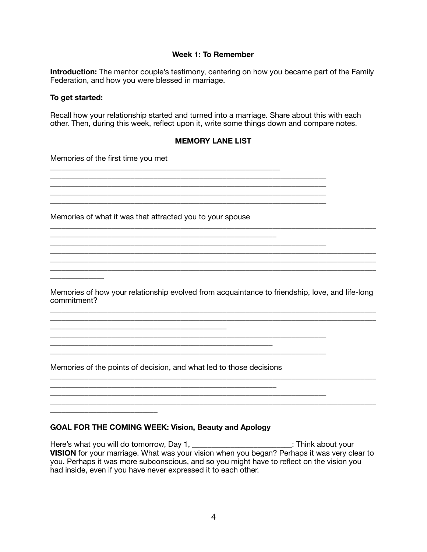## **Week 1: To Remember**

**Introduction:** The mentor couple's testimony, centering on how you became part of the Family Federation, and how you were blessed in marriage.

#### **To get started:**

\_\_\_\_\_\_\_\_\_\_\_\_\_\_

\_\_\_\_\_\_\_\_\_\_\_\_\_\_\_\_\_\_\_\_\_\_\_\_\_\_\_\_

Recall how your relationship started and turned into a marriage. Share about this with each other. Then, during this week, reflect upon it, write some things down and compare notes.

#### **MEMORY LANE LIST**

\_\_\_\_\_\_\_\_\_\_\_\_\_\_\_\_\_\_\_\_\_\_\_\_\_\_\_\_\_\_\_\_\_\_\_\_\_\_\_\_\_\_\_\_\_\_\_\_\_\_\_\_\_\_\_\_\_\_\_\_\_\_\_\_\_\_\_\_\_\_\_\_

\_\_\_\_\_\_\_\_\_\_\_\_\_\_\_\_\_\_\_\_\_\_\_\_\_\_\_\_\_\_\_\_\_\_\_\_\_\_\_\_\_\_\_\_\_\_\_\_\_\_\_\_\_\_\_\_\_\_\_\_\_\_\_\_\_\_\_\_\_\_\_\_\_\_\_\_\_\_\_\_\_\_\_\_\_

 $\overline{a_1}$  ,  $\overline{a_2}$  ,  $\overline{a_3}$  ,  $\overline{a_4}$  ,  $\overline{a_5}$  ,  $\overline{a_6}$  ,  $\overline{a_7}$  ,  $\overline{a_8}$  ,  $\overline{a_9}$  ,  $\overline{a_9}$  ,  $\overline{a_9}$  ,  $\overline{a_9}$  ,  $\overline{a_9}$  ,  $\overline{a_9}$  ,  $\overline{a_9}$  ,  $\overline{a_9}$  ,  $\overline{a_9}$  , \_\_\_\_\_\_\_\_\_\_\_\_\_\_\_\_\_\_\_\_\_\_\_\_\_\_\_\_\_\_\_\_\_\_\_\_\_\_\_\_\_\_\_\_\_\_\_\_\_\_\_\_\_\_\_\_\_\_\_\_\_\_\_\_\_\_\_\_\_\_\_\_\_\_\_\_\_\_\_\_\_\_\_\_\_

 $\_$  ,  $\_$  ,  $\_$  ,  $\_$  ,  $\_$  ,  $\_$  ,  $\_$  ,  $\_$  ,  $\_$  ,  $\_$  ,  $\_$  ,  $\_$  ,  $\_$  ,  $\_$  ,  $\_$  ,  $\_$  ,  $\_$  ,  $\_$  ,  $\_$  ,  $\_$  ,  $\_$  ,  $\_$  ,  $\_$  ,  $\_$  ,  $\_$  ,  $\_$  ,  $\_$  ,  $\_$  ,  $\_$  ,  $\_$  ,  $\_$  ,  $\_$  ,  $\_$  ,  $\_$  ,  $\_$  ,  $\_$  ,  $\_$  ,

\_\_\_\_\_\_\_\_\_\_\_\_\_\_\_\_\_\_\_\_\_\_\_\_\_\_\_\_\_\_\_\_\_\_\_\_\_\_\_\_\_\_\_\_\_\_\_\_\_\_\_\_\_\_\_\_\_\_\_\_\_\_\_\_\_\_\_\_\_\_\_\_

Memories of the first time you met

Memories of what it was that attracted you to your spouse

\_\_\_\_\_\_\_\_\_\_\_\_\_\_\_\_\_\_\_\_\_\_\_\_\_\_\_\_\_\_\_\_\_\_\_\_\_\_\_\_\_\_\_\_\_\_\_\_\_\_\_\_\_\_\_\_\_\_\_\_

Memories of how your relationship evolved from acquaintance to friendship, love, and life-long commitment? \_\_\_\_\_\_\_\_\_\_\_\_\_\_\_\_\_\_\_\_\_\_\_\_\_\_\_\_\_\_\_\_\_\_\_\_\_\_\_\_\_\_\_\_\_\_\_\_\_\_\_\_\_\_\_\_\_\_\_\_\_\_\_\_\_\_\_\_\_\_\_\_\_\_\_\_\_\_\_\_\_\_\_\_\_

\_\_\_\_\_\_\_\_\_\_\_\_\_\_\_\_\_\_\_\_\_\_\_\_\_\_\_\_\_\_\_\_\_\_\_\_\_\_\_\_\_\_\_\_\_\_\_\_\_\_\_\_\_\_\_\_\_\_\_\_\_\_\_\_\_\_\_\_\_\_\_\_\_\_\_\_\_\_\_\_\_\_\_\_\_

\_\_\_\_\_\_\_\_\_\_\_\_\_\_\_\_\_\_\_\_\_\_\_\_\_\_\_\_\_\_\_\_\_\_\_\_\_\_\_\_\_\_\_\_\_\_\_\_\_\_\_\_\_\_\_\_\_\_\_\_\_\_\_\_\_\_\_\_\_\_\_\_\_\_\_\_\_\_\_\_\_\_\_\_\_

\_\_\_\_\_\_\_\_\_\_\_\_\_\_\_\_\_\_\_\_\_\_\_\_\_\_\_\_\_\_\_\_\_\_\_\_\_\_\_\_\_\_\_\_\_\_\_\_\_\_\_\_\_\_\_\_\_\_\_\_\_\_\_\_\_\_\_\_\_\_\_\_\_\_\_\_\_\_\_\_\_\_\_\_\_

Memories of the points of decision, and what led to those decisions

\_\_\_\_\_\_\_\_\_\_\_\_\_\_\_\_\_\_\_\_\_\_\_\_\_\_\_\_\_\_\_\_\_\_\_\_\_\_\_\_\_\_\_\_\_\_\_\_\_\_\_\_\_\_\_\_\_\_\_

\_\_\_\_\_\_\_\_\_\_\_\_\_\_\_\_\_\_\_\_\_\_\_\_\_\_\_\_\_\_\_\_\_\_\_\_\_\_\_\_\_\_\_\_\_\_\_\_\_\_\_\_\_\_\_\_\_\_

\_\_\_\_\_\_\_\_\_\_\_\_\_\_\_\_\_\_\_\_\_\_\_\_\_\_\_\_\_\_\_\_\_\_\_\_\_\_\_\_\_\_\_\_\_\_\_\_\_\_\_\_\_\_\_\_\_\_\_\_\_\_\_\_\_\_\_\_\_\_\_\_

#### **GOAL FOR THE COMING WEEK: Vision, Beauty and Apology**

Here's what you will do tomorrow, Day 1, \_\_\_\_\_\_\_\_\_\_\_\_\_\_\_\_\_\_\_\_\_\_\_\_\_\_\_\_\_\_\_: Think about your **VISION** for your marriage. What was your vision when you began? Perhaps it was very clear to you. Perhaps it was more subconscious, and so you might have to reflect on the vision you had inside, even if you have never expressed it to each other.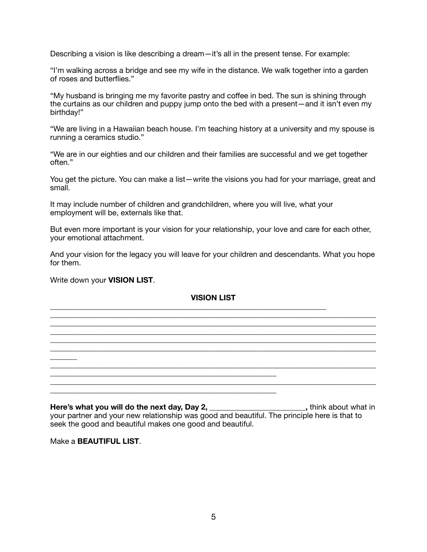Describing a vision is like describing a dream—it's all in the present tense. For example:

"I'm walking across a bridge and see my wife in the distance. We walk together into a garden of roses and butterflies."

"My husband is bringing me my favorite pastry and coffee in bed. The sun is shining through the curtains as our children and puppy jump onto the bed with a present—and it isn't even my birthday!"

"We are living in a Hawaiian beach house. I'm teaching history at a university and my spouse is running a ceramics studio."

"We are in our eighties and our children and their families are successful and we get together often."

You get the picture. You can make a list—write the visions you had for your marriage, great and small.

It may include number of children and grandchildren, where you will live, what your employment will be, externals like that.

\_\_\_\_\_\_\_\_\_\_\_\_\_\_\_\_\_\_\_\_\_\_\_\_\_\_\_\_\_\_\_\_\_\_\_\_\_\_\_\_\_\_\_\_\_\_\_\_\_\_\_\_\_\_\_\_\_\_\_\_\_\_\_\_\_\_\_\_\_\_\_\_

\_\_\_\_\_\_\_\_\_\_\_\_\_\_\_\_\_\_\_\_\_\_\_\_\_\_\_\_\_\_\_\_\_\_\_\_\_\_\_\_\_\_\_\_\_\_\_\_\_\_\_\_\_\_\_\_\_\_\_

\_\_\_\_\_\_\_\_\_\_\_\_\_\_\_\_\_\_\_\_\_\_\_\_\_\_\_\_\_\_\_\_\_\_\_\_\_\_\_\_\_\_\_\_\_\_\_\_\_\_\_\_\_\_\_\_\_\_\_

But even more important is your vision for your relationship, your love and care for each other, your emotional attachment.

And your vision for the legacy you will leave for your children and descendants. What you hope for them.

Write down your **VISION LIST**.

#### **VISION LIST**

\_\_\_\_\_\_\_\_\_\_\_\_\_\_\_\_\_\_\_\_\_\_\_\_\_\_\_\_\_\_\_\_\_\_\_\_\_\_\_\_\_\_\_\_\_\_\_\_\_\_\_\_\_\_\_\_\_\_\_\_\_\_\_\_\_\_\_\_\_\_\_\_\_\_\_\_\_\_\_\_\_\_\_\_\_ \_\_\_\_\_\_\_\_\_\_\_\_\_\_\_\_\_\_\_\_\_\_\_\_\_\_\_\_\_\_\_\_\_\_\_\_\_\_\_\_\_\_\_\_\_\_\_\_\_\_\_\_\_\_\_\_\_\_\_\_\_\_\_\_\_\_\_\_\_\_\_\_\_\_\_\_\_\_\_\_\_\_\_\_\_ \_\_\_\_\_\_\_\_\_\_\_\_\_\_\_\_\_\_\_\_\_\_\_\_\_\_\_\_\_\_\_\_\_\_\_\_\_\_\_\_\_\_\_\_\_\_\_\_\_\_\_\_\_\_\_\_\_\_\_\_\_\_\_\_\_\_\_\_\_\_\_\_\_\_\_\_\_\_\_\_\_\_\_\_\_ \_\_\_\_\_\_\_\_\_\_\_\_\_\_\_\_\_\_\_\_\_\_\_\_\_\_\_\_\_\_\_\_\_\_\_\_\_\_\_\_\_\_\_\_\_\_\_\_\_\_\_\_\_\_\_\_\_\_\_\_\_\_\_\_\_\_\_\_\_\_\_\_\_\_\_\_\_\_\_\_\_\_\_\_\_

\_\_\_\_\_\_\_\_\_\_\_\_\_\_\_\_\_\_\_\_\_\_\_\_\_\_\_\_\_\_\_\_\_\_\_\_\_\_\_\_\_\_\_\_\_\_\_\_\_\_\_\_\_\_\_\_\_\_\_\_\_\_\_\_\_\_\_\_\_\_\_\_\_\_\_\_\_\_\_\_\_\_\_\_\_

\_\_\_\_\_\_\_\_\_\_\_\_\_\_\_\_\_\_\_\_\_\_\_\_\_\_\_\_\_\_\_\_\_\_\_\_\_\_\_\_\_\_\_\_\_\_\_\_\_\_\_\_\_\_\_\_\_\_\_\_\_\_\_\_\_\_\_\_\_\_\_\_\_\_\_\_\_\_\_\_\_\_\_\_\_

Here's what you will do the next day, Day 2, \_\_\_\_\_\_\_\_\_\_\_\_\_\_\_\_\_\_\_\_\_\_\_\_\_, think about what in your partner and your new relationship was good and beautiful. The principle here is that to seek the good and beautiful makes one good and beautiful.

Make a **BEAUTIFUL LIST**.

\_\_\_\_\_\_\_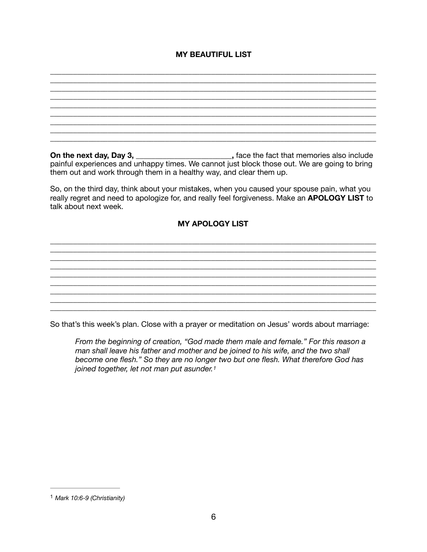# **MY BEAUTIFUL LIST**

\_\_\_\_\_\_\_\_\_\_\_\_\_\_\_\_\_\_\_\_\_\_\_\_\_\_\_\_\_\_\_\_\_\_\_\_\_\_\_\_\_\_\_\_\_\_\_\_\_\_\_\_\_\_\_\_\_\_\_\_\_\_\_\_\_\_\_\_\_\_\_\_\_\_\_\_\_\_\_\_\_\_\_\_\_

\_\_\_\_\_\_\_\_\_\_\_\_\_\_\_\_\_\_\_\_\_\_\_\_\_\_\_\_\_\_\_\_\_\_\_\_\_\_\_\_\_\_\_\_\_\_\_\_\_\_\_\_\_\_\_\_\_\_\_\_\_\_\_\_\_\_\_\_\_\_\_\_\_\_\_\_\_\_\_\_\_\_\_\_\_ \_\_\_\_\_\_\_\_\_\_\_\_\_\_\_\_\_\_\_\_\_\_\_\_\_\_\_\_\_\_\_\_\_\_\_\_\_\_\_\_\_\_\_\_\_\_\_\_\_\_\_\_\_\_\_\_\_\_\_\_\_\_\_\_\_\_\_\_\_\_\_\_\_\_\_\_\_\_\_\_\_\_\_\_\_  $\_$  ,  $\_$  ,  $\_$  ,  $\_$  ,  $\_$  ,  $\_$  ,  $\_$  ,  $\_$  ,  $\_$  ,  $\_$  ,  $\_$  ,  $\_$  ,  $\_$  ,  $\_$  ,  $\_$  ,  $\_$  ,  $\_$  ,  $\_$  ,  $\_$  ,  $\_$ \_\_\_\_\_\_\_\_\_\_\_\_\_\_\_\_\_\_\_\_\_\_\_\_\_\_\_\_\_\_\_\_\_\_\_\_\_\_\_\_\_\_\_\_\_\_\_\_\_\_\_\_\_\_\_\_\_\_\_\_\_\_\_\_\_\_\_\_\_\_\_\_\_\_\_\_\_\_\_\_\_\_\_\_\_ \_\_\_\_\_\_\_\_\_\_\_\_\_\_\_\_\_\_\_\_\_\_\_\_\_\_\_\_\_\_\_\_\_\_\_\_\_\_\_\_\_\_\_\_\_\_\_\_\_\_\_\_\_\_\_\_\_\_\_\_\_\_\_\_\_\_\_\_\_\_\_\_\_\_\_\_\_\_\_\_\_\_\_\_\_ **On the next day, Day 3, <u>\_\_\_\_\_\_\_\_\_\_\_\_\_\_\_\_\_\_\_\_</u>, face the fact that memories also include** painful experiences and unhappy times. We cannot just block those out. We are going to bring them out and work through them in a healthy way, and clear them up. So, on the third day, think about your mistakes, when you caused your spouse pain, what you really regret and need to apologize for, and really feel forgiveness. Make an **APOLOGY LIST** to talk about next week. **MY APOLOGY LIST**  \_\_\_\_\_\_\_\_\_\_\_\_\_\_\_\_\_\_\_\_\_\_\_\_\_\_\_\_\_\_\_\_\_\_\_\_\_\_\_\_\_\_\_\_\_\_\_\_\_\_\_\_\_\_\_\_\_\_\_\_\_\_\_\_\_\_\_\_\_\_\_\_\_\_\_\_\_\_\_\_\_\_\_\_\_ \_\_\_\_\_\_\_\_\_\_\_\_\_\_\_\_\_\_\_\_\_\_\_\_\_\_\_\_\_\_\_\_\_\_\_\_\_\_\_\_\_\_\_\_\_\_\_\_\_\_\_\_\_\_\_\_\_\_\_\_\_\_\_\_\_\_\_\_\_\_\_\_\_\_\_\_\_\_\_\_\_\_\_\_\_ \_\_\_\_\_\_\_\_\_\_\_\_\_\_\_\_\_\_\_\_\_\_\_\_\_\_\_\_\_\_\_\_\_\_\_\_\_\_\_\_\_\_\_\_\_\_\_\_\_\_\_\_\_\_\_\_\_\_\_\_\_\_\_\_\_\_\_\_\_\_\_\_\_\_\_\_\_\_\_\_\_\_\_\_\_ \_\_\_\_\_\_\_\_\_\_\_\_\_\_\_\_\_\_\_\_\_\_\_\_\_\_\_\_\_\_\_\_\_\_\_\_\_\_\_\_\_\_\_\_\_\_\_\_\_\_\_\_\_\_\_\_\_\_\_\_\_\_\_\_\_\_\_\_\_\_\_\_\_\_\_\_\_\_\_\_\_\_\_\_\_ \_\_\_\_\_\_\_\_\_\_\_\_\_\_\_\_\_\_\_\_\_\_\_\_\_\_\_\_\_\_\_\_\_\_\_\_\_\_\_\_\_\_\_\_\_\_\_\_\_\_\_\_\_\_\_\_\_\_\_\_\_\_\_\_\_\_\_\_\_\_\_\_\_\_\_\_\_\_\_\_\_\_\_\_\_ \_\_\_\_\_\_\_\_\_\_\_\_\_\_\_\_\_\_\_\_\_\_\_\_\_\_\_\_\_\_\_\_\_\_\_\_\_\_\_\_\_\_\_\_\_\_\_\_\_\_\_\_\_\_\_\_\_\_\_\_\_\_\_\_\_\_\_\_\_\_\_\_\_\_\_\_\_\_\_\_\_\_\_\_\_ \_\_\_\_\_\_\_\_\_\_\_\_\_\_\_\_\_\_\_\_\_\_\_\_\_\_\_\_\_\_\_\_\_\_\_\_\_\_\_\_\_\_\_\_\_\_\_\_\_\_\_\_\_\_\_\_\_\_\_\_\_\_\_\_\_\_\_\_\_\_\_\_\_\_\_\_\_\_\_\_\_\_\_\_\_

So that's this week's plan. Close with a prayer or meditation on Jesus' words about marriage:

<span id="page-5-1"></span>*From the beginning of creation, "God made them male and female." For this reason a man shall leave his father and mother and be joined to his wife, and the two shall become one flesh." So they are no longer two but one flesh. What therefore God has joined together, let not man put asunder.[1](#page-5-0)*

<span id="page-5-0"></span>*Mark 10:6-9 (Christianity)* [1](#page-5-1)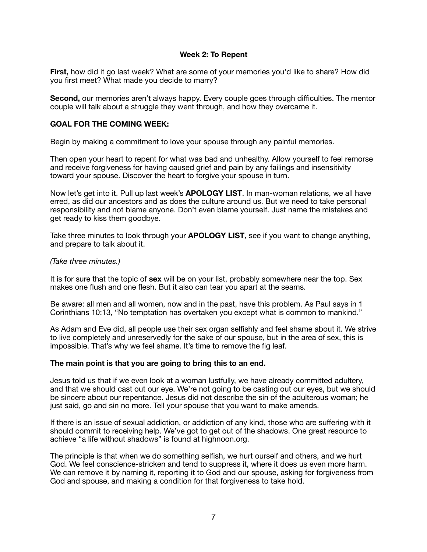## **Week 2: To Repent**

**First,** how did it go last week? What are some of your memories you'd like to share? How did you first meet? What made you decide to marry?

**Second,** our memories aren't always happy. Every couple goes through difficulties. The mentor couple will talk about a struggle they went through, and how they overcame it.

## **GOAL FOR THE COMING WEEK:**

Begin by making a commitment to love your spouse through any painful memories.

Then open your heart to repent for what was bad and unhealthy. Allow yourself to feel remorse and receive forgiveness for having caused grief and pain by any failings and insensitivity toward your spouse. Discover the heart to forgive your spouse in turn.

Now let's get into it. Pull up last week's **APOLOGY LIST**. In man-woman relations, we all have erred, as did our ancestors and as does the culture around us. But we need to take personal responsibility and not blame anyone. Don't even blame yourself. Just name the mistakes and get ready to kiss them goodbye.

Take three minutes to look through your **APOLOGY LIST**, see if you want to change anything, and prepare to talk about it.

#### *(Take three minutes.)*

It is for sure that the topic of **sex** will be on your list, probably somewhere near the top. Sex makes one flush and one flesh. But it also can tear you apart at the seams.

Be aware: all men and all women, now and in the past, have this problem. As Paul says in 1 Corinthians 10:13, "No temptation has overtaken you except what is common to mankind."

As Adam and Eve did, all people use their sex organ selfishly and feel shame about it. We strive to live completely and unreservedly for the sake of our spouse, but in the area of sex, this is impossible. That's why we feel shame. It's time to remove the fig leaf.

#### **The main point is that you are going to bring this to an end.**

Jesus told us that if we even look at a woman lustfully, we have already committed adultery, and that we should cast out our eye. We're not going to be casting out our eyes, but we should be sincere about our repentance. Jesus did not describe the sin of the adulterous woman; he just said, go and sin no more. Tell your spouse that you want to make amends.

If there is an issue of sexual addiction, or addiction of any kind, those who are suffering with it should commit to receiving help. We've got to get out of the shadows. One great resource to achieve "a life without shadows" is found at highnoon.org.

The principle is that when we do something selfish, we hurt ourself and others, and we hurt God. We feel conscience-stricken and tend to suppress it, where it does us even more harm. We can remove it by naming it, reporting it to God and our spouse, asking for forgiveness from God and spouse, and making a condition for that forgiveness to take hold.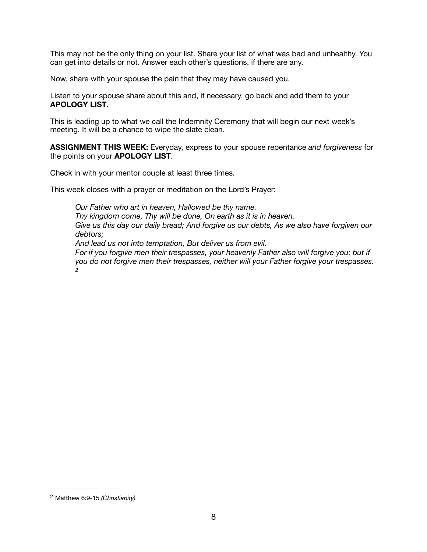This may not be the only thing on your list. Share your list of what was bad and unhealthy. You can get into details or not. Answer each other's questions, if there are any.

Now, share with your spouse the pain that they may have caused you.

Listen to your spouse share about this and, if necessary, go back and add them to your **APOLOGY LIST**.

This is leading up to what we call the Indemnity Ceremony that will begin our next week's meeting. It will be a chance to wipe the slate clean.

**ASSIGNMENT THIS WEEK:** Everyday, express to your spouse repentance *and forgiveness* for the points on your **APOLOGY LIST**.

Check in with your mentor couple at least three times.

This week closes with a prayer or meditation on the Lord's Prayer:

<span id="page-7-1"></span>*Our Father who art in heaven, Hallowed be thy name. Thy kingdom come, Thy will be done, On earth as it is in heaven. Give us this day our daily bread; And forgive us our debts, As we also have forgiven our debtors; And lead us not into temptation, But deliver us from evil. For if you forgive men their trespasses, your heavenly Father also will forgive you; but if you do not forgive men their trespasses, neither will your Father forgive your trespasses. [2](#page-7-0)*

<span id="page-7-0"></span>Matthew 6:9-15 *(Christianity)* [2](#page-7-1)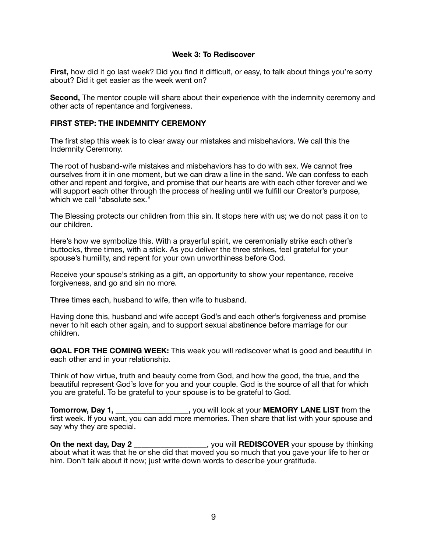## **Week 3: To Rediscover**

**First,** how did it go last week? Did you find it difficult, or easy, to talk about things you're sorry about? Did it get easier as the week went on?

**Second,** The mentor couple will share about their experience with the indemnity ceremony and other acts of repentance and forgiveness.

## **FIRST STEP: THE INDEMNITY CEREMONY**

The first step this week is to clear away our mistakes and misbehaviors. We call this the Indemnity Ceremony.

The root of husband-wife mistakes and misbehaviors has to do with sex. We cannot free ourselves from it in one moment, but we can draw a line in the sand. We can confess to each other and repent and forgive, and promise that our hearts are with each other forever and we will support each other through the process of healing until we fulfill our Creator's purpose, which we call "absolute sex."

The Blessing protects our children from this sin. It stops here with us; we do not pass it on to our children.

Here's how we symbolize this. With a prayerful spirit, we ceremonially strike each other's buttocks, three times, with a stick. As you deliver the three strikes, feel grateful for your spouse's humility, and repent for your own unworthiness before God.

Receive your spouse's striking as a gift, an opportunity to show your repentance, receive forgiveness, and go and sin no more.

Three times each, husband to wife, then wife to husband.

Having done this, husband and wife accept God's and each other's forgiveness and promise never to hit each other again, and to support sexual abstinence before marriage for our children.

**GOAL FOR THE COMING WEEK:** This week you will rediscover what is good and beautiful in each other and in your relationship.

Think of how virtue, truth and beauty come from God, and how the good, the true, and the beautiful represent God's love for you and your couple. God is the source of all that for which you are grateful. To be grateful to your spouse is to be grateful to God.

**Tomorrow, Day 1, \_\_\_\_\_\_\_\_\_\_\_\_\_\_\_\_\_\_\_,** you will look at your **MEMORY LANE LIST** from the first week. If you want, you can add more memories. Then share that list with your spouse and say why they are special.

**On the next day, Day 2** \_\_\_\_\_\_\_\_\_\_\_\_\_\_\_\_\_\_, you will **REDISCOVER** your spouse by thinking about what it was that he or she did that moved you so much that you gave your life to her or him. Don't talk about it now; just write down words to describe your gratitude.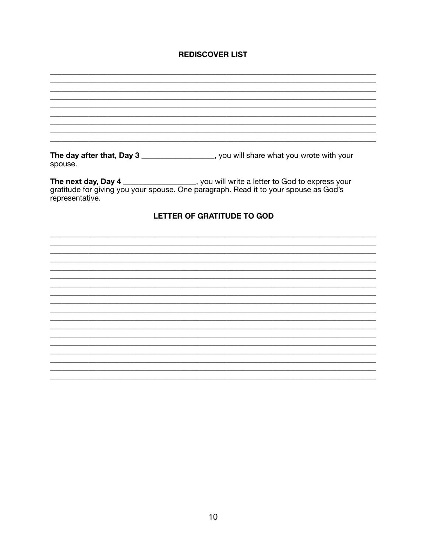# **REDISCOVER LIST**

| spouse.         | The day after that, Day 3 __________________, you will share what you wrote with your                                                                                         |
|-----------------|-------------------------------------------------------------------------------------------------------------------------------------------------------------------------------|
| representative. | The next day, Day 4 _________________, you will write a letter to God to express your<br>gratitude for giving you your spouse. One paragraph. Read it to your spouse as God's |
|                 | <b>LETTER OF GRATITUDE TO GOD</b>                                                                                                                                             |
|                 |                                                                                                                                                                               |
|                 |                                                                                                                                                                               |
|                 |                                                                                                                                                                               |
|                 |                                                                                                                                                                               |
|                 |                                                                                                                                                                               |
|                 |                                                                                                                                                                               |
|                 |                                                                                                                                                                               |
|                 |                                                                                                                                                                               |
|                 |                                                                                                                                                                               |
|                 |                                                                                                                                                                               |
|                 |                                                                                                                                                                               |
|                 |                                                                                                                                                                               |
|                 |                                                                                                                                                                               |
|                 |                                                                                                                                                                               |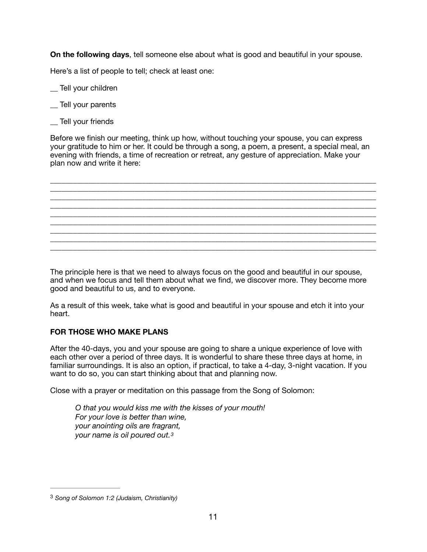**On the following days**, tell someone else about what is good and beautiful in your spouse.

Here's a list of people to tell; check at least one:

\_\_ Tell your children

- \_\_ Tell your parents
- \_\_ Tell your friends

Before we finish our meeting, think up how, without touching your spouse, you can express your gratitude to him or her. It could be through a song, a poem, a present, a special meal, an evening with friends, a time of recreation or retreat, any gesture of appreciation. Make your plan now and write it here:



The principle here is that we need to always focus on the good and beautiful in our spouse, and when we focus and tell them about what we find, we discover more. They become more good and beautiful to us, and to everyone.

As a result of this week, take what is good and beautiful in your spouse and etch it into your heart.

# **FOR THOSE WHO MAKE PLANS**

After the 40-days, you and your spouse are going to share a unique experience of love with each other over a period of three days. It is wonderful to share these three days at home, in familiar surroundings. It is also an option, if practical, to take a 4-day, 3-night vacation. If you want to do so, you can start thinking about that and planning now.

Close with a prayer or meditation on this passage from the Song of Solomon:

<span id="page-10-1"></span>*O that you would kiss me with the kisses of your mouth! For your love is better than wine, your anointing oils are fragrant, your name is oil poured out[.3](#page-10-0)*

<span id="page-10-0"></span>*Song of Solomon 1:2 (Judaism, Christianity)* [3](#page-10-1)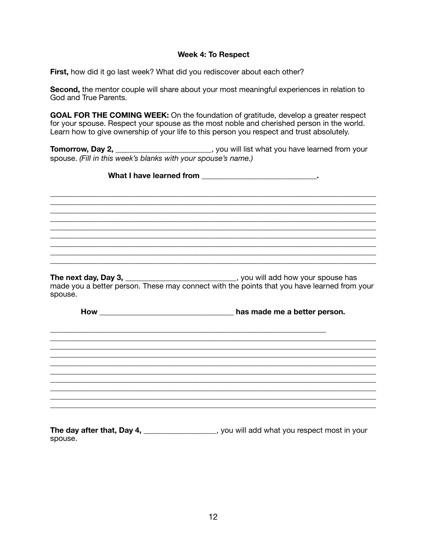### **Week 4: To Respect**

First, how did it go last week? What did you rediscover about each other?

Second, the mentor couple will share about your most meaningful experiences in relation to God and True Parents.

GOAL FOR THE COMING WEEK: On the foundation of gratitude, develop a greater respect for your spouse. Respect your spouse as the most noble and cherished person in the world. Learn how to give ownership of your life to this person you respect and trust absolutely.

Tomorrow, Day 2, \_\_\_\_\_\_\_\_\_\_\_\_\_\_\_\_\_\_\_\_\_\_\_\_\_\_\_, you will list what you have learned from your spouse. (Fill in this week's blanks with your spouse's name.)

What I have learned from the same state of the state of the state of the state of the state of the state of the state of the state of the state of the state of the state of the state of the state of the state of the state

The next day, Day 3, you will add how your spouse has made you a better person. These may connect with the points that you have learned from your spouse.

How has made me a better person.

The day after that, Day 4, \_\_\_\_\_\_\_\_\_\_\_\_\_\_\_\_\_, you will add what you respect most in your spouse.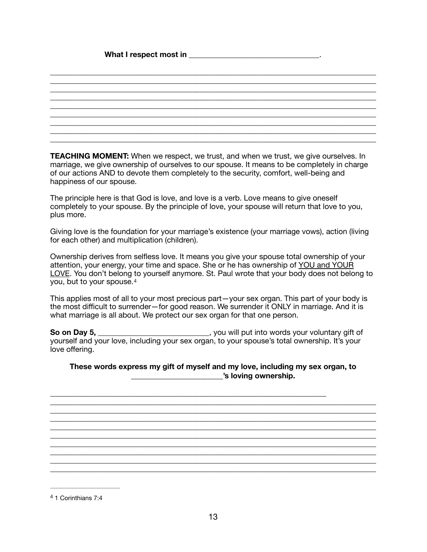## What I respect most in **What I** respect most in

**TEACHING MOMENT:** When we respect, we trust, and when we trust, we give ourselves. In marriage, we give ownership of ourselves to our spouse. It means to be completely in charge of our actions AND to devote them completely to the security, comfort, well-being and happiness of our spouse.

\_\_\_\_\_\_\_\_\_\_\_\_\_\_\_\_\_\_\_\_\_\_\_\_\_\_\_\_\_\_\_\_\_\_\_\_\_\_\_\_\_\_\_\_\_\_\_\_\_\_\_\_\_\_\_\_\_\_\_\_\_\_\_\_\_\_\_\_\_\_\_\_\_\_\_\_\_\_\_\_\_\_\_\_\_ \_\_\_\_\_\_\_\_\_\_\_\_\_\_\_\_\_\_\_\_\_\_\_\_\_\_\_\_\_\_\_\_\_\_\_\_\_\_\_\_\_\_\_\_\_\_\_\_\_\_\_\_\_\_\_\_\_\_\_\_\_\_\_\_\_\_\_\_\_\_\_\_\_\_\_\_\_\_\_\_\_\_\_\_\_ \_\_\_\_\_\_\_\_\_\_\_\_\_\_\_\_\_\_\_\_\_\_\_\_\_\_\_\_\_\_\_\_\_\_\_\_\_\_\_\_\_\_\_\_\_\_\_\_\_\_\_\_\_\_\_\_\_\_\_\_\_\_\_\_\_\_\_\_\_\_\_\_\_\_\_\_\_\_\_\_\_\_\_\_\_

\_\_\_\_\_\_\_\_\_\_\_\_\_\_\_\_\_\_\_\_\_\_\_\_\_\_\_\_\_\_\_\_\_\_\_\_\_\_\_\_\_\_\_\_\_\_\_\_\_\_\_\_\_\_\_\_\_\_\_\_\_\_\_\_\_\_\_\_\_\_\_\_\_\_\_\_\_\_\_\_\_\_\_\_\_ \_\_\_\_\_\_\_\_\_\_\_\_\_\_\_\_\_\_\_\_\_\_\_\_\_\_\_\_\_\_\_\_\_\_\_\_\_\_\_\_\_\_\_\_\_\_\_\_\_\_\_\_\_\_\_\_\_\_\_\_\_\_\_\_\_\_\_\_\_\_\_\_\_\_\_\_\_\_\_\_\_\_\_\_\_ \_\_\_\_\_\_\_\_\_\_\_\_\_\_\_\_\_\_\_\_\_\_\_\_\_\_\_\_\_\_\_\_\_\_\_\_\_\_\_\_\_\_\_\_\_\_\_\_\_\_\_\_\_\_\_\_\_\_\_\_\_\_\_\_\_\_\_\_\_\_\_\_\_\_\_\_\_\_\_\_\_\_\_\_\_ \_\_\_\_\_\_\_\_\_\_\_\_\_\_\_\_\_\_\_\_\_\_\_\_\_\_\_\_\_\_\_\_\_\_\_\_\_\_\_\_\_\_\_\_\_\_\_\_\_\_\_\_\_\_\_\_\_\_\_\_\_\_\_\_\_\_\_\_\_\_\_\_\_\_\_\_\_\_\_\_\_\_\_\_\_

The principle here is that God is love, and love is a verb. Love means to give oneself completely to your spouse. By the principle of love, your spouse will return that love to you, plus more.

Giving love is the foundation for your marriage's existence (your marriage vows), action (living for each other) and multiplication (children).

Ownership derives from selfless love. It means you give your spouse total ownership of your attention, your energy, your time and space. She or he has ownership of YOU and YOUR LOVE. You don't belong to yourself anymore. St. Paul wrote that your body does not belong to you, but to your spouse.[4](#page-12-0)

<span id="page-12-1"></span>This applies most of all to your most precious part—your sex organ. This part of your body is the most difficult to surrender—for good reason. We surrender it ONLY in marriage. And it is what marriage is all about. We protect our sex organ for that one person.

**So on Day 5, \_\_\_\_\_\_\_\_\_\_\_\_\_\_\_\_\_\_\_\_\_\_\_\_\_\_**, you will put into words your voluntary gift of<br>A your spouse's total ownership. It's your yourself and your love, including your sex organ, to your spouse's total ownership. It's your love offering.

\_\_\_\_\_\_\_\_\_\_\_\_\_\_\_\_\_\_\_\_\_\_\_\_\_\_\_\_\_\_\_\_\_\_\_\_\_\_\_\_\_\_\_\_\_\_\_\_\_\_\_\_\_\_\_\_\_\_\_\_\_\_\_\_\_\_\_\_\_\_\_\_

## **These words express my gift of myself and my love, including my sex organ, to \_\_\_\_\_\_\_\_\_\_\_\_\_\_\_\_\_\_\_\_\_\_\_\_'s loving ownership.**

\_\_\_\_\_\_\_\_\_\_\_\_\_\_\_\_\_\_\_\_\_\_\_\_\_\_\_\_\_\_\_\_\_\_\_\_\_\_\_\_\_\_\_\_\_\_\_\_\_\_\_\_\_\_\_\_\_\_\_\_\_\_\_\_\_\_\_\_\_\_\_\_\_\_\_\_\_\_\_\_\_\_\_\_\_ \_\_\_\_\_\_\_\_\_\_\_\_\_\_\_\_\_\_\_\_\_\_\_\_\_\_\_\_\_\_\_\_\_\_\_\_\_\_\_\_\_\_\_\_\_\_\_\_\_\_\_\_\_\_\_\_\_\_\_\_\_\_\_\_\_\_\_\_\_\_\_\_\_\_\_\_\_\_\_\_\_\_\_\_\_ \_\_\_\_\_\_\_\_\_\_\_\_\_\_\_\_\_\_\_\_\_\_\_\_\_\_\_\_\_\_\_\_\_\_\_\_\_\_\_\_\_\_\_\_\_\_\_\_\_\_\_\_\_\_\_\_\_\_\_\_\_\_\_\_\_\_\_\_\_\_\_\_\_\_\_\_\_\_\_\_\_\_\_\_\_ \_\_\_\_\_\_\_\_\_\_\_\_\_\_\_\_\_\_\_\_\_\_\_\_\_\_\_\_\_\_\_\_\_\_\_\_\_\_\_\_\_\_\_\_\_\_\_\_\_\_\_\_\_\_\_\_\_\_\_\_\_\_\_\_\_\_\_\_\_\_\_\_\_\_\_\_\_\_\_\_\_\_\_\_\_

<span id="page-12-0"></span><sup>[4](#page-12-1)</sup> 1 Corinthians 7:4

\_\_\_\_\_\_\_\_\_\_\_\_\_\_\_\_\_\_\_\_\_\_\_\_\_\_\_\_\_\_\_\_\_\_\_\_\_\_\_\_\_\_\_\_\_\_\_\_\_\_\_\_\_\_\_\_\_\_\_\_\_\_\_\_\_\_\_\_\_\_\_\_\_\_\_\_\_\_\_\_\_\_\_\_\_ \_\_\_\_\_\_\_\_\_\_\_\_\_\_\_\_\_\_\_\_\_\_\_\_\_\_\_\_\_\_\_\_\_\_\_\_\_\_\_\_\_\_\_\_\_\_\_\_\_\_\_\_\_\_\_\_\_\_\_\_\_\_\_\_\_\_\_\_\_\_\_\_\_\_\_\_\_\_\_\_\_\_\_\_\_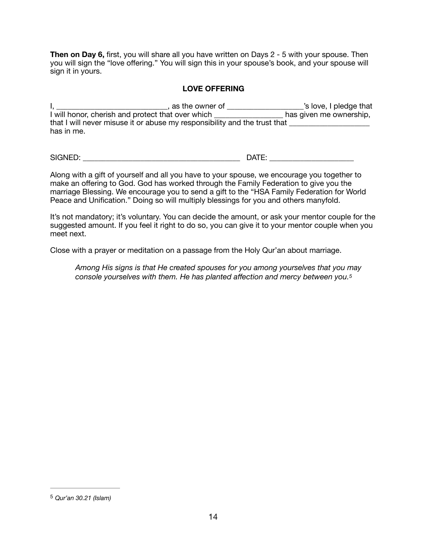**Then on Day 6,** first, you will share all you have written on Days 2 - 5 with your spouse. Then you will sign the "love offering." You will sign this in your spouse's book, and your spouse will sign it in yours.

# **LOVE OFFERING**

I, \_\_\_\_\_\_\_\_\_\_\_\_\_\_\_\_\_\_\_\_\_\_\_\_\_\_\_\_\_\_\_, as the owner of \_\_\_\_\_\_\_\_\_\_\_\_\_\_\_\_\_\_\_\_\_\_\_'s love, I pledge that I will honor, cherish and protect that over which \_\_\_\_\_\_\_\_\_\_\_\_\_\_\_\_\_\_\_\_\_ has given me ownership, that I will never misuse it or abuse my responsibility and the trust that has in me.

SIGNED: \_\_\_\_\_\_\_\_\_\_\_\_\_\_\_\_\_\_\_\_\_\_\_\_\_\_\_\_\_\_\_\_\_\_\_\_\_\_\_\_\_ DATE: \_\_\_\_\_\_\_\_\_\_\_\_\_\_\_\_\_\_\_\_\_\_

<span id="page-13-1"></span>

Along with a gift of yourself and all you have to your spouse, we encourage you together to make an offering to God. God has worked through the Family Federation to give you the marriage Blessing. We encourage you to send a gift to the "HSA Family Federation for World Peace and Unification." Doing so will multiply blessings for you and others manyfold.

It's not mandatory; it's voluntary. You can decide the amount, or ask your mentor couple for the suggested amount. If you feel it right to do so, you can give it to your mentor couple when you meet next.

Close with a prayer or meditation on a passage from the Holy Qur'an about marriage.

*Among His signs is that He created spouses for you among yourselves that you may console yourselves with them. He has planted affection and mercy between you.[5](#page-13-0)*

<span id="page-13-0"></span>*Qur'an 30.21 (Islam)* [5](#page-13-1)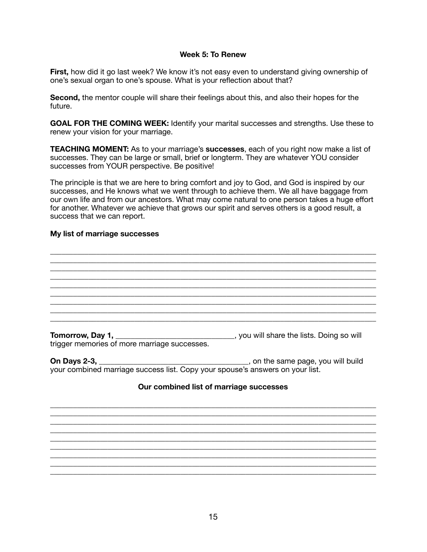#### **Week 5: To Renew**

First, how did it go last week? We know it's not easy even to understand giving ownership of one's sexual organ to one's spouse. What is your reflection about that?

**Second,** the mentor couple will share their feelings about this, and also their hopes for the future.

**GOAL FOR THE COMING WEEK:** Identify your marital successes and strengths. Use these to renew your vision for your marriage.

**TEACHING MOMENT:** As to your marriage's **successes**, each of you right now make a list of successes. They can be large or small, brief or longterm. They are whatever YOU consider successes from YOUR perspective. Be positive!

The principle is that we are here to bring comfort and joy to God, and God is inspired by our successes, and He knows what we went through to achieve them. We all have baggage from our own life and from our ancestors. What may come natural to one person takes a huge effort for another. Whatever we achieve that grows our spirit and serves others is a good result, a success that we can report.

\_\_\_\_\_\_\_\_\_\_\_\_\_\_\_\_\_\_\_\_\_\_\_\_\_\_\_\_\_\_\_\_\_\_\_\_\_\_\_\_\_\_\_\_\_\_\_\_\_\_\_\_\_\_\_\_\_\_\_\_\_\_\_\_\_\_\_\_\_\_\_\_\_\_\_\_\_\_\_\_\_\_\_\_\_

\_\_\_\_\_\_\_\_\_\_\_\_\_\_\_\_\_\_\_\_\_\_\_\_\_\_\_\_\_\_\_\_\_\_\_\_\_\_\_\_\_\_\_\_\_\_\_\_\_\_\_\_\_\_\_\_\_\_\_\_\_\_\_\_\_\_\_\_\_\_\_\_\_\_\_\_\_\_\_\_\_\_\_\_\_ \_\_\_\_\_\_\_\_\_\_\_\_\_\_\_\_\_\_\_\_\_\_\_\_\_\_\_\_\_\_\_\_\_\_\_\_\_\_\_\_\_\_\_\_\_\_\_\_\_\_\_\_\_\_\_\_\_\_\_\_\_\_\_\_\_\_\_\_\_\_\_\_\_\_\_\_\_\_\_\_\_\_\_\_\_ \_\_\_\_\_\_\_\_\_\_\_\_\_\_\_\_\_\_\_\_\_\_\_\_\_\_\_\_\_\_\_\_\_\_\_\_\_\_\_\_\_\_\_\_\_\_\_\_\_\_\_\_\_\_\_\_\_\_\_\_\_\_\_\_\_\_\_\_\_\_\_\_\_\_\_\_\_\_\_\_\_\_\_\_\_

\_\_\_\_\_\_\_\_\_\_\_\_\_\_\_\_\_\_\_\_\_\_\_\_\_\_\_\_\_\_\_\_\_\_\_\_\_\_\_\_\_\_\_\_\_\_\_\_\_\_\_\_\_\_\_\_\_\_\_\_\_\_\_\_\_\_\_\_\_\_\_\_\_\_\_\_\_\_\_\_\_\_\_\_\_ \_\_\_\_\_\_\_\_\_\_\_\_\_\_\_\_\_\_\_\_\_\_\_\_\_\_\_\_\_\_\_\_\_\_\_\_\_\_\_\_\_\_\_\_\_\_\_\_\_\_\_\_\_\_\_\_\_\_\_\_\_\_\_\_\_\_\_\_\_\_\_\_\_\_\_\_\_\_\_\_\_\_\_\_\_ \_\_\_\_\_\_\_\_\_\_\_\_\_\_\_\_\_\_\_\_\_\_\_\_\_\_\_\_\_\_\_\_\_\_\_\_\_\_\_\_\_\_\_\_\_\_\_\_\_\_\_\_\_\_\_\_\_\_\_\_\_\_\_\_\_\_\_\_\_\_\_\_\_\_\_\_\_\_\_\_\_\_\_\_\_

#### **My list of marriage successes**

**Tomorrow, Day 1, \_\_\_\_\_\_\_\_\_\_\_\_\_\_\_\_\_\_\_\_\_\_\_\_\_\_\_\_**, you will share the lists. Doing so will trigger memories of more marriage successes.

**On Days 2-3,** \_\_\_\_\_\_\_\_\_\_\_\_\_\_\_\_\_\_\_\_\_\_\_\_\_\_\_\_\_\_\_\_\_\_\_\_\_\_\_, on the same page, you will build your combined marriage success list. Copy your spouse's answers on your list.

#### **Our combined list of marriage successes**

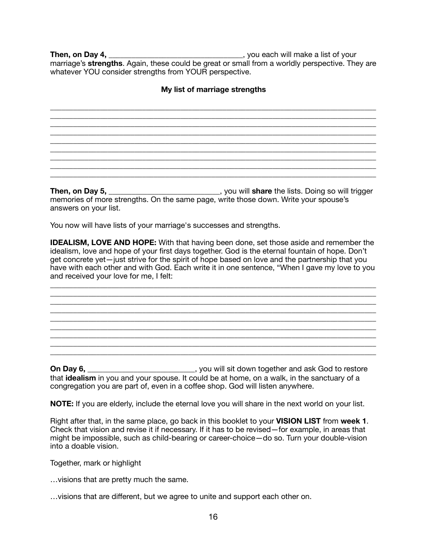**Then, on Day 4, \_\_\_\_\_\_\_\_\_\_\_\_\_\_\_\_\_\_\_\_\_\_\_\_\_\_\_\_\_\_\_\_\_\_**, you each will make a list of your marriage's **strengths**. Again, these could be great or small from a worldly perspective. They are whatever YOU consider strengths from YOUR perspective.

## **My list of marriage strengths**

\_\_\_\_\_\_\_\_\_\_\_\_\_\_\_\_\_\_\_\_\_\_\_\_\_\_\_\_\_\_\_\_\_\_\_\_\_\_\_\_\_\_\_\_\_\_\_\_\_\_\_\_\_\_\_\_\_\_\_\_\_\_\_\_\_\_\_\_\_\_\_\_\_\_\_\_\_\_\_\_\_\_\_\_\_ \_\_\_\_\_\_\_\_\_\_\_\_\_\_\_\_\_\_\_\_\_\_\_\_\_\_\_\_\_\_\_\_\_\_\_\_\_\_\_\_\_\_\_\_\_\_\_\_\_\_\_\_\_\_\_\_\_\_\_\_\_\_\_\_\_\_\_\_\_\_\_\_\_\_\_\_\_\_\_\_\_\_\_\_\_ \_\_\_\_\_\_\_\_\_\_\_\_\_\_\_\_\_\_\_\_\_\_\_\_\_\_\_\_\_\_\_\_\_\_\_\_\_\_\_\_\_\_\_\_\_\_\_\_\_\_\_\_\_\_\_\_\_\_\_\_\_\_\_\_\_\_\_\_\_\_\_\_\_\_\_\_\_\_\_\_\_\_\_\_\_ \_\_\_\_\_\_\_\_\_\_\_\_\_\_\_\_\_\_\_\_\_\_\_\_\_\_\_\_\_\_\_\_\_\_\_\_\_\_\_\_\_\_\_\_\_\_\_\_\_\_\_\_\_\_\_\_\_\_\_\_\_\_\_\_\_\_\_\_\_\_\_\_\_\_\_\_\_\_\_\_\_\_\_\_\_

\_\_\_\_\_\_\_\_\_\_\_\_\_\_\_\_\_\_\_\_\_\_\_\_\_\_\_\_\_\_\_\_\_\_\_\_\_\_\_\_\_\_\_\_\_\_\_\_\_\_\_\_\_\_\_\_\_\_\_\_\_\_\_\_\_\_\_\_\_\_\_\_\_\_\_\_\_\_\_\_\_\_\_\_\_

\_\_\_\_\_\_\_\_\_\_\_\_\_\_\_\_\_\_\_\_\_\_\_\_\_\_\_\_\_\_\_\_\_\_\_\_\_\_\_\_\_\_\_\_\_\_\_\_\_\_\_\_\_\_\_\_\_\_\_\_\_\_\_\_\_\_\_\_\_\_\_\_\_\_\_\_\_\_\_\_\_\_\_\_\_ \_\_\_\_\_\_\_\_\_\_\_\_\_\_\_\_\_\_\_\_\_\_\_\_\_\_\_\_\_\_\_\_\_\_\_\_\_\_\_\_\_\_\_\_\_\_\_\_\_\_\_\_\_\_\_\_\_\_\_\_\_\_\_\_\_\_\_\_\_\_\_\_\_\_\_\_\_\_\_\_\_\_\_\_\_

**Then, on Day 5,** \_\_\_\_\_\_\_\_\_\_\_\_\_\_\_\_\_\_\_\_\_\_\_\_\_\_\_\_\_, you will **share** the lists. Doing so will trigger memories of more strengths. On the same page, write those down. Write your spouse's answers on your list.

You now will have lists of your marriage's successes and strengths.

**IDEALISM, LOVE AND HOPE:** With that having been done, set those aside and remember the idealism, love and hope of your first days together. God is the eternal fountain of hope. Don't get concrete yet—just strive for the spirit of hope based on love and the partnership that you have with each other and with God. Each write it in one sentence, "When I gave my love to you and received your love for me, I felt:

\_\_\_\_\_\_\_\_\_\_\_\_\_\_\_\_\_\_\_\_\_\_\_\_\_\_\_\_\_\_\_\_\_\_\_\_\_\_\_\_\_\_\_\_\_\_\_\_\_\_\_\_\_\_\_\_\_\_\_\_\_\_\_\_\_\_\_\_\_\_\_\_\_\_\_\_\_\_\_\_\_\_\_\_\_

\_\_\_\_\_\_\_\_\_\_\_\_\_\_\_\_\_\_\_\_\_\_\_\_\_\_\_\_\_\_\_\_\_\_\_\_\_\_\_\_\_\_\_\_\_\_\_\_\_\_\_\_\_\_\_\_\_\_\_\_\_\_\_\_\_\_\_\_\_\_\_\_\_\_\_\_\_\_\_\_\_\_\_\_\_

\_\_\_\_\_\_\_\_\_\_\_\_\_\_\_\_\_\_\_\_\_\_\_\_\_\_\_\_\_\_\_\_\_\_\_\_\_\_\_\_\_\_\_\_\_\_\_\_\_\_\_\_\_\_\_\_\_\_\_\_\_\_\_\_\_\_\_\_\_\_\_\_\_\_\_\_\_\_\_\_\_\_\_\_\_

\_\_\_\_\_\_\_\_\_\_\_\_\_\_\_\_\_\_\_\_\_\_\_\_\_\_\_\_\_\_\_\_\_\_\_\_\_\_\_\_\_\_\_\_\_\_\_\_\_\_\_\_\_\_\_\_\_\_\_\_\_\_\_\_\_\_\_\_\_\_\_\_\_\_\_\_\_\_\_\_\_\_\_\_\_ \_\_\_\_\_\_\_\_\_\_\_\_\_\_\_\_\_\_\_\_\_\_\_\_\_\_\_\_\_\_\_\_\_\_\_\_\_\_\_\_\_\_\_\_\_\_\_\_\_\_\_\_\_\_\_\_\_\_\_\_\_\_\_\_\_\_\_\_\_\_\_\_\_\_\_\_\_\_\_\_\_\_\_\_\_ \_\_\_\_\_\_\_\_\_\_\_\_\_\_\_\_\_\_\_\_\_\_\_\_\_\_\_\_\_\_\_\_\_\_\_\_\_\_\_\_\_\_\_\_\_\_\_\_\_\_\_\_\_\_\_\_\_\_\_\_\_\_\_\_\_\_\_\_\_\_\_\_\_\_\_\_\_\_\_\_\_\_\_\_\_

**On Day 6, \_\_\_\_\_\_\_\_\_\_\_\_\_\_\_\_\_\_\_\_\_\_**, you will sit down together and ask God to restore that **idealism** in you and your spouse. It could be at home, on a walk, in the sanctuary of a congregation you are part of, even in a coffee shop. God will listen anywhere.

**NOTE:** If you are elderly, include the eternal love you will share in the next world on your list.

Right after that, in the same place, go back in this booklet to your **VISION LIST** from **week 1**. Check that vision and revise it if necessary. If it has to be revised—for example, in areas that might be impossible, such as child-bearing or career-choice—do so. Turn your double-vision into a doable vision.

Together, mark or highlight

…visions that are pretty much the same.

…visions that are different, but we agree to unite and support each other on.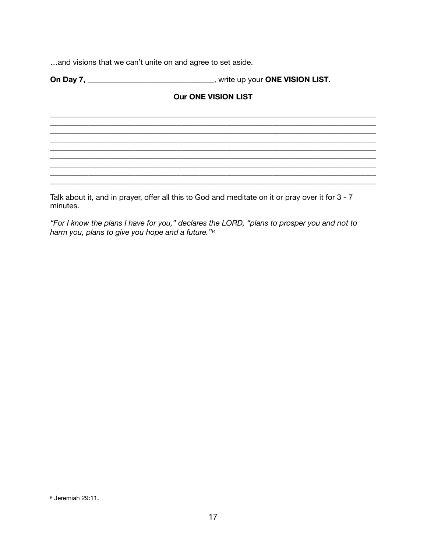... and visions that we can't unite on and agree to set aside.

# <span id="page-16-1"></span>**Our ONE VISION LIST**

<u> 1989 - Jan James James James James James James James James James James James James James James James James</u>

Talk about it, and in prayer, offer all this to God and meditate on it or pray over it for 3 - 7 minutes.

"For I know the plans I have for you," declares the LORD, "plans to prosper you and not to harm you, plans to give you hope and a future."6

<span id="page-16-0"></span><sup>&</sup>lt;sup>6</sup> Jeremiah 29:11.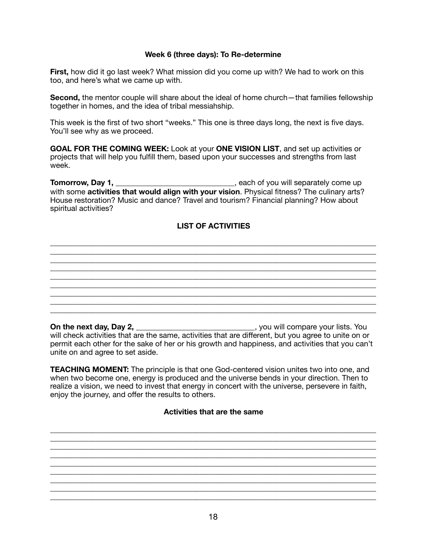## **Week 6 (three days): To Re-determine**

**First,** how did it go last week? What mission did you come up with? We had to work on this too, and here's what we came up with.

**Second,** the mentor couple will share about the ideal of home church—that families fellowship together in homes, and the idea of tribal messiahship.

This week is the first of two short "weeks." This one is three days long, the next is five days. You'll see why as we proceed.

**GOAL FOR THE COMING WEEK:** Look at your **ONE VISION LIST**, and set up activities or projects that will help you fulfill them, based upon your successes and strengths from last week.

**Tomorrow, Day 1, \_\_\_\_\_\_\_\_\_\_\_\_\_\_\_\_\_\_\_\_\_\_\_\_\_\_\_\_\_**, each of you will separately come up with some **activities that would align with your vision**. Physical fitness? The culinary arts? House restoration? Music and dance? Travel and tourism? Financial planning? How about spiritual activities?

# **LIST OF ACTIVITIES**

\_\_\_\_\_\_\_\_\_\_\_\_\_\_\_\_\_\_\_\_\_\_\_\_\_\_\_\_\_\_\_\_\_\_\_\_\_\_\_\_\_\_\_\_\_\_\_\_\_\_\_\_\_\_\_\_\_\_\_\_\_\_\_\_\_\_\_\_\_\_\_\_\_\_\_\_\_\_\_\_\_\_\_\_\_ \_\_\_\_\_\_\_\_\_\_\_\_\_\_\_\_\_\_\_\_\_\_\_\_\_\_\_\_\_\_\_\_\_\_\_\_\_\_\_\_\_\_\_\_\_\_\_\_\_\_\_\_\_\_\_\_\_\_\_\_\_\_\_\_\_\_\_\_\_\_\_\_\_\_\_\_\_\_\_\_\_\_\_\_\_

\_\_\_\_\_\_\_\_\_\_\_\_\_\_\_\_\_\_\_\_\_\_\_\_\_\_\_\_\_\_\_\_\_\_\_\_\_\_\_\_\_\_\_\_\_\_\_\_\_\_\_\_\_\_\_\_\_\_\_\_\_\_\_\_\_\_\_\_\_\_\_\_\_\_\_\_\_\_\_\_\_\_\_\_\_ \_\_\_\_\_\_\_\_\_\_\_\_\_\_\_\_\_\_\_\_\_\_\_\_\_\_\_\_\_\_\_\_\_\_\_\_\_\_\_\_\_\_\_\_\_\_\_\_\_\_\_\_\_\_\_\_\_\_\_\_\_\_\_\_\_\_\_\_\_\_\_\_\_\_\_\_\_\_\_\_\_\_\_\_\_

\_\_\_\_\_\_\_\_\_\_\_\_\_\_\_\_\_\_\_\_\_\_\_\_\_\_\_\_\_\_\_\_\_\_\_\_\_\_\_\_\_\_\_\_\_\_\_\_\_\_\_\_\_\_\_\_\_\_\_\_\_\_\_\_\_\_\_\_\_\_\_\_\_\_\_\_\_\_\_\_\_\_\_\_\_ \_\_\_\_\_\_\_\_\_\_\_\_\_\_\_\_\_\_\_\_\_\_\_\_\_\_\_\_\_\_\_\_\_\_\_\_\_\_\_\_\_\_\_\_\_\_\_\_\_\_\_\_\_\_\_\_\_\_\_\_\_\_\_\_\_\_\_\_\_\_\_\_\_\_\_\_\_\_\_\_\_\_\_\_\_

**On the next day, Day 2, \_\_\_\_\_\_\_\_\_\_\_\_\_\_\_\_\_\_\_\_\_\_\_\_\_\_**, you will compare your lists. You will check activities that are the same, activities that are different, but you agree to unite on or permit each other for the sake of her or his growth and happiness, and activities that you can't unite on and agree to set aside.

**TEACHING MOMENT:** The principle is that one God-centered vision unites two into one, and when two become one, energy is produced and the universe bends in your direction. Then to realize a vision, we need to invest that energy in concert with the universe, persevere in faith, enjoy the journey, and offer the results to others.

#### **Activities that are the same**

\_\_\_\_\_\_\_\_\_\_\_\_\_\_\_\_\_\_\_\_\_\_\_\_\_\_\_\_\_\_\_\_\_\_\_\_\_\_\_\_\_\_\_\_\_\_\_\_\_\_\_\_\_\_\_\_\_\_\_\_\_\_\_\_\_\_\_\_\_\_\_\_\_\_\_\_\_\_\_\_\_\_\_\_\_ \_\_\_\_\_\_\_\_\_\_\_\_\_\_\_\_\_\_\_\_\_\_\_\_\_\_\_\_\_\_\_\_\_\_\_\_\_\_\_\_\_\_\_\_\_\_\_\_\_\_\_\_\_\_\_\_\_\_\_\_\_\_\_\_\_\_\_\_\_\_\_\_\_\_\_\_\_\_\_\_\_\_\_\_\_ \_\_\_\_\_\_\_\_\_\_\_\_\_\_\_\_\_\_\_\_\_\_\_\_\_\_\_\_\_\_\_\_\_\_\_\_\_\_\_\_\_\_\_\_\_\_\_\_\_\_\_\_\_\_\_\_\_\_\_\_\_\_\_\_\_\_\_\_\_\_\_\_\_\_\_\_\_\_\_\_\_\_\_\_\_

\_\_\_\_\_\_\_\_\_\_\_\_\_\_\_\_\_\_\_\_\_\_\_\_\_\_\_\_\_\_\_\_\_\_\_\_\_\_\_\_\_\_\_\_\_\_\_\_\_\_\_\_\_\_\_\_\_\_\_\_\_\_\_\_\_\_\_\_\_\_\_\_\_\_\_\_\_\_\_\_\_\_\_\_\_ \_\_\_\_\_\_\_\_\_\_\_\_\_\_\_\_\_\_\_\_\_\_\_\_\_\_\_\_\_\_\_\_\_\_\_\_\_\_\_\_\_\_\_\_\_\_\_\_\_\_\_\_\_\_\_\_\_\_\_\_\_\_\_\_\_\_\_\_\_\_\_\_\_\_\_\_\_\_\_\_\_\_\_\_\_ \_\_\_\_\_\_\_\_\_\_\_\_\_\_\_\_\_\_\_\_\_\_\_\_\_\_\_\_\_\_\_\_\_\_\_\_\_\_\_\_\_\_\_\_\_\_\_\_\_\_\_\_\_\_\_\_\_\_\_\_\_\_\_\_\_\_\_\_\_\_\_\_\_\_\_\_\_\_\_\_\_\_\_\_\_

\_\_\_\_\_\_\_\_\_\_\_\_\_\_\_\_\_\_\_\_\_\_\_\_\_\_\_\_\_\_\_\_\_\_\_\_\_\_\_\_\_\_\_\_\_\_\_\_\_\_\_\_\_\_\_\_\_\_\_\_\_\_\_\_\_\_\_\_\_\_\_\_\_\_\_\_\_\_\_\_\_\_\_\_\_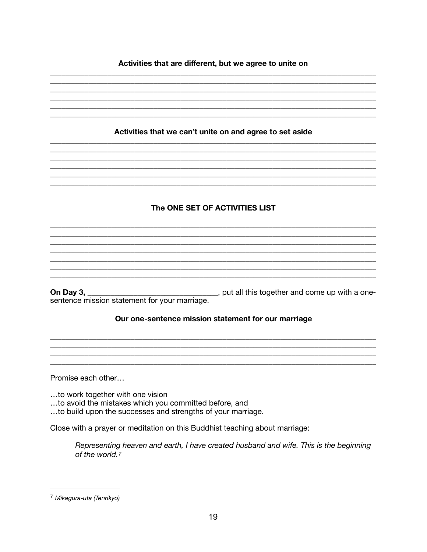## Activities that are different, but we agree to unite on

Activities that we can't unite on and agree to set aside The ONE SET OF ACTIVITIES LIST \_\_\_\_\_\_\_\_\_, put all this together and come up with a one-On Day 3,  $\_\_$ sentence mission statement for your marriage. Our one-sentence mission statement for our marriage Promise each other...

...to work together with one vision

- ...to avoid the mistakes which you committed before, and
- ...to build upon the successes and strengths of your marriage.

Close with a prayer or meditation on this Buddhist teaching about marriage:

<span id="page-18-1"></span>Representing heaven and earth, I have created husband and wife. This is the beginning of the world.7

<span id="page-18-0"></span><sup>7</sup> Mikagura-uta (Tenrikyo)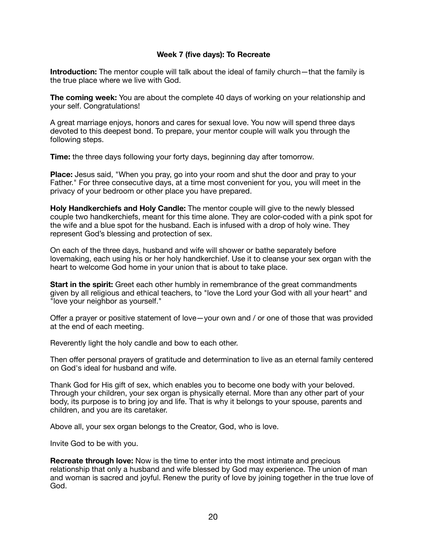## **Week 7 (five days): To Recreate**

**Introduction:** The mentor couple will talk about the ideal of family church—that the family is the true place where we live with God.

**The coming week:** You are about the complete 40 days of working on your relationship and your self. Congratulations!

A great marriage enjoys, honors and cares for sexual love. You now will spend three days devoted to this deepest bond. To prepare, your mentor couple will walk you through the following steps.

**Time:** the three days following your forty days, beginning day after tomorrow.

**Place:** Jesus said, "When you pray, go into your room and shut the door and pray to your Father." For three consecutive days, at a time most convenient for you, you will meet in the privacy of your bedroom or other place you have prepared.

**Holy Handkerchiefs and Holy Candle:** The mentor couple will give to the newly blessed couple two handkerchiefs, meant for this time alone. They are color-coded with a pink spot for the wife and a blue spot for the husband. Each is infused with a drop of holy wine. They represent God's blessing and protection of sex.

On each of the three days, husband and wife will shower or bathe separately before lovemaking, each using his or her holy handkerchief. Use it to cleanse your sex organ with the heart to welcome God home in your union that is about to take place.

**Start in the spirit:** Greet each other humbly in remembrance of the great commandments given by all religious and ethical teachers, to "love the Lord your God with all your heart" and "love your neighbor as yourself."

Offer a prayer or positive statement of love—your own and / or one of those that was provided at the end of each meeting.

Reverently light the holy candle and bow to each other.

Then offer personal prayers of gratitude and determination to live as an eternal family centered on God's ideal for husband and wife.

Thank God for His gift of sex, which enables you to become one body with your beloved. Through your children, your sex organ is physically eternal. More than any other part of your body, its purpose is to bring joy and life. That is why it belongs to your spouse, parents and children, and you are its caretaker.

Above all, your sex organ belongs to the Creator, God, who is love.

Invite God to be with you.

**Recreate through love:** Now is the time to enter into the most intimate and precious relationship that only a husband and wife blessed by God may experience. The union of man and woman is sacred and joyful. Renew the purity of love by joining together in the true love of God.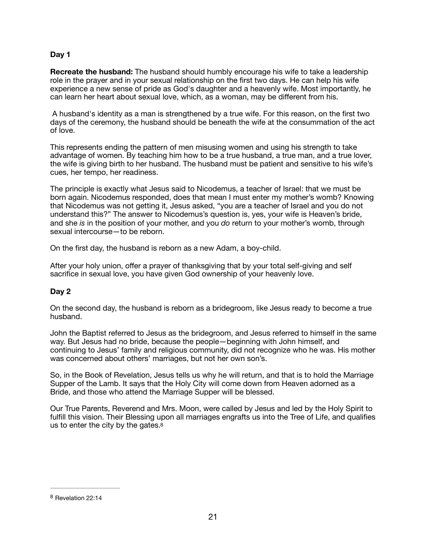## **Day 1**

**Recreate the husband:** The husband should humbly encourage his wife to take a leadership role in the prayer and in your sexual relationship on the first two days. He can help his wife experience a new sense of pride as God's daughter and a heavenly wife. Most importantly, he can learn her heart about sexual love, which, as a woman, may be different from his.

 A husband's identity as a man is strengthened by a true wife. For this reason, on the first two days of the ceremony, the husband should be beneath the wife at the consummation of the act of love.

This represents ending the pattern of men misusing women and using his strength to take advantage of women. By teaching him how to be a true husband, a true man, and a true lover, the wife is giving birth to her husband. The husband must be patient and sensitive to his wife's cues, her tempo, her readiness.

The principle is exactly what Jesus said to Nicodemus, a teacher of Israel: that we must be born again. Nicodemus responded, does that mean I must enter my mother's womb? Knowing that Nicodemus was not getting it, Jesus asked, "you are a teacher of Israel and you do not understand this?" The answer to Nicodemus's question is, yes, your wife is Heaven's bride, and she *is* in the position of your mother, and you *do* return to your mother's womb, through sexual intercourse—to be reborn.

On the first day, the husband is reborn as a new Adam, a boy-child.

After your holy union, offer a prayer of thanksgiving that by your total self-giving and self sacrifice in sexual love, you have given God ownership of your heavenly love.

## **Day 2**

On the second day, the husband is reborn as a bridegroom, like Jesus ready to become a true husband.

John the Baptist referred to Jesus as the bridegroom, and Jesus referred to himself in the same way. But Jesus had no bride, because the people—beginning with John himself, and continuing to Jesus' family and religious community, did not recognize who he was. His mother was concerned about others' marriages, but not her own son's.

So, in the Book of Revelation, Jesus tells us why he will return, and that is to hold the Marriage Supper of the Lamb. It says that the Holy City will come down from Heaven adorned as a Bride, and those who attend the Marriage Supper will be blessed.

<span id="page-20-1"></span>Our True Parents, Reverend and Mrs. Moon, were called by Jesus and led by the Holy Spirit to fulfill this vision. Their Blessing upon all marriages engrafts us into the Tree of Life, and qualifies us to enter the city by the gates[.8](#page-20-0)

<span id="page-20-0"></span><sup>&</sup>lt;sup>[8](#page-20-1)</sup> Revelation 22:14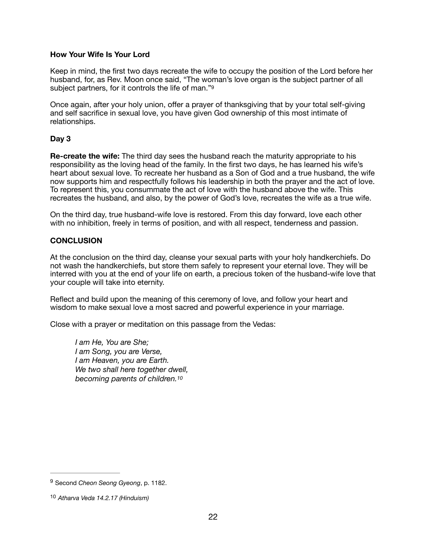#### **How Your Wife Is Your Lord**

Keep in mind, the first two days recreate the wife to occupy the position of the Lord before her husband, for, as Rev. Moon once said, "The woman's love organ is the subject partner of all subject partners, for it controls the life of man."<sup>9</sup>

<span id="page-21-2"></span>Once again, after your holy union, offer a prayer of thanksgiving that by your total self-giving and self sacrifice in sexual love, you have given God ownership of this most intimate of relationships.

## **Day 3**

**Re-create the wife:** The third day sees the husband reach the maturity appropriate to his responsibility as the loving head of the family. In the first two days, he has learned his wife's heart about sexual love. To recreate her husband as a Son of God and a true husband, the wife now supports him and respectfully follows his leadership in both the prayer and the act of love. To represent this, you consummate the act of love with the husband above the wife. This recreates the husband, and also, by the power of God's love, recreates the wife as a true wife.

On the third day, true husband-wife love is restored. From this day forward, love each other with no inhibition, freely in terms of position, and with all respect, tenderness and passion.

## **CONCLUSION**

At the conclusion on the third day, cleanse your sexual parts with your holy handkerchiefs. Do not wash the handkerchiefs, but store them safely to represent your eternal love. They will be interred with you at the end of your life on earth, a precious token of the husband-wife love that your couple will take into eternity.

Reflect and build upon the meaning of this ceremony of love, and follow your heart and wisdom to make sexual love a most sacred and powerful experience in your marriage.

Close with a prayer or meditation on this passage from the Vedas:

<span id="page-21-3"></span>*I am He, You are She; I am Song, you are Verse, I am Heaven, you are Earth. We two shall here together dwell, becoming parents of children[.10](#page-21-1)*

<span id="page-21-0"></span><sup>&</sup>lt;sup>[9](#page-21-2)</sup> Second *Cheon Seong Gyeong*, p. 1182.

<span id="page-21-1"></span>*Atharva Veda 14.2.17 (Hinduism)* [10](#page-21-3)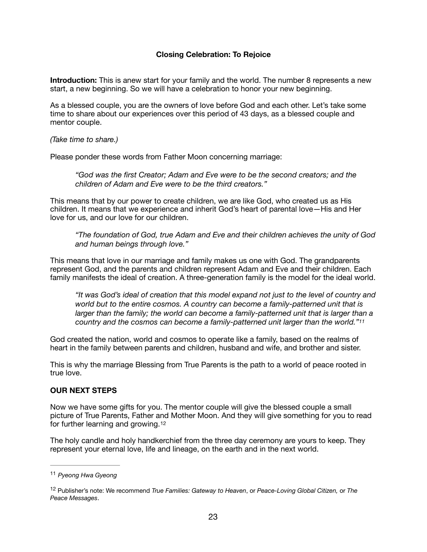## **Closing Celebration: To Rejoice**

**Introduction:** This is anew start for your family and the world. The number 8 represents a new start, a new beginning. So we will have a celebration to honor your new beginning.

As a blessed couple, you are the owners of love before God and each other. Let's take some time to share about our experiences over this period of 43 days, as a blessed couple and mentor couple.

*(Take time to share.)* 

Please ponder these words from Father Moon concerning marriage:

*"God was the first Creator; Adam and Eve were to be the second creators; and the children of Adam and Eve were to be the third creators."* 

This means that by our power to create children, we are like God, who created us as His children. It means that we experience and inherit God's heart of parental love—His and Her love for us, and our love for our children.

*"The foundation of God, true Adam and Eve and their children achieves the unity of God and human beings through love."* 

This means that love in our marriage and family makes us one with God. The grandparents represent God, and the parents and children represent Adam and Eve and their children. Each family manifests the ideal of creation. A three-generation family is the model for the ideal world.

<span id="page-22-2"></span>*"It was God's ideal of creation that this model expand not just to the level of country and world but to the entire cosmos. A country can become a family-patterned unit that is larger than the family; the world can become a family-patterned unit that is larger than a country and the cosmos can become a family-patterned unit larger than the world."[11](#page-22-0)*

God created the nation, world and cosmos to operate like a family, based on the realms of heart in the family between parents and children, husband and wife, and brother and sister.

This is why the marriage Blessing from True Parents is the path to a world of peace rooted in true love.

#### **OUR NEXT STEPS**

Now we have some gifts for you. The mentor couple will give the blessed couple a small picture of True Parents, Father and Mother Moon. And they will give something for you to read for further learning and growing.[12](#page-22-1)

<span id="page-22-3"></span>The holy candle and holy handkerchief from the three day ceremony are yours to keep. They represent your eternal love, life and lineage, on the earth and in the next world.

<span id="page-22-0"></span>*Pyeong Hwa Gyeong* [11](#page-22-2)

<span id="page-22-1"></span><sup>&</sup>lt;sup>[12](#page-22-3)</sup> Publisher's note: We recommend *True Families: Gateway to Heaven*, or *Peace-Loving Global Citizen, or The Peace Messages*.